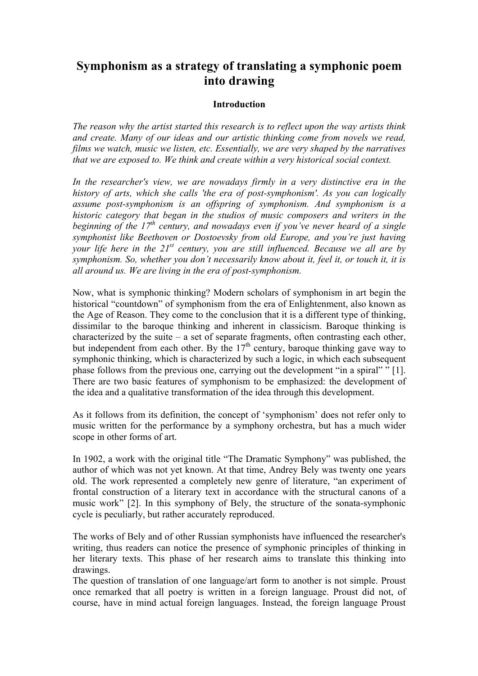# **Symphonism as a strategy of translating a symphonic poem into drawing**

### **Introduction**

*The reason why the artist started this research is to reflect upon the way artists think and create. Many of our ideas and our artistic thinking come from novels we read, films we watch, music we listen, etc. Essentially, we are very shaped by the narratives that we are exposed to. We think and create within a very historical social context.* 

*In the researcher's view, we are nowadays firmly in a very distinctive era in the history of arts, which she calls 'the era of post-symphonism'. As you can logically assume post-symphonism is an offspring of symphonism. And symphonism is a historic category that began in the studios of music composers and writers in the beginning of the 17th century, and nowadays even if you've never heard of a single symphonist like Beethoven or Dostoevsky from old Europe, and you're just having your life here in the 21st century, you are still influenced. Because we all are by symphonism. So, whether you don't necessarily know about it, feel it, or touch it, it is all around us. We are living in the era of post-symphonism.* 

Now, what is symphonic thinking? Modern scholars of symphonism in art begin the historical "countdown" of symphonism from the era of Enlightenment, also known as the Age of Reason. They come to the conclusion that it is a different type of thinking, dissimilar to the baroque thinking and inherent in classicism. Baroque thinking is characterized by the suite  $-$  a set of separate fragments, often contrasting each other, but independent from each other. By the  $17<sup>th</sup>$  century, baroque thinking gave way to symphonic thinking, which is characterized by such a logic, in which each subsequent phase follows from the previous one, carrying out the development "in a spiral" " [1]. There are two basic features of symphonism to be emphasized: the development of the idea and a qualitative transformation of the idea through this development.

As it follows from its definition, the concept of 'symphonism' does not refer only to music written for the performance by a symphony orchestra, but has a much wider scope in other forms of art.

In 1902, a work with the original title "The Dramatic Symphony" was published, the author of which was not yet known. At that time, Andrey Bely was twenty one years old. The work represented a completely new genre of literature, "an experiment of frontal construction of a literary text in accordance with the structural canons of a music work" [2]. In this symphony of Bely, the structure of the sonata-symphonic cycle is peculiarly, but rather accurately reproduced.

The works of Bely and of other Russian symphonists have influenced the researcher's writing, thus readers can notice the presence of symphonic principles of thinking in her literary texts. This phase of her research aims to translate this thinking into drawings.

The question of translation of one language/art form to another is not simple. Proust once remarked that all poetry is written in a foreign language. Proust did not, of course, have in mind actual foreign languages. Instead, the foreign language Proust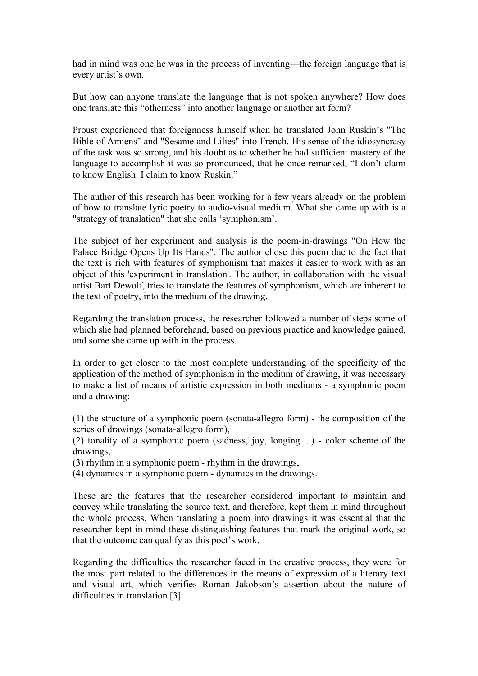had in mind was one he was in the process of inventing—the foreign language that is every artist's own.

But how can anyone translate the language that is not spoken anywhere? How does one translate this "otherness" into another language or another art form?

Proust experienced that foreignness himself when he translated John Ruskin's "The Bible of Amiens" and "Sesame and Lilies" into French. His sense of the idiosyncrasy of the task was so strong, and his doubt as to whether he had sufficient mastery of the language to accomplish it was so pronounced, that he once remarked, "I don't claim to know English. I claim to know Ruskin."

The author of this research has been working for a few years already on the problem of how to translate lyric poetry to audio-visual medium. What she came up with is a "strategy of translation" that she calls 'symphonism'.

The subject of her experiment and analysis is the poem-in-drawings "On How the Palace Bridge Opens Up Its Hands". The author chose this poem due to the fact that the text is rich with features of symphonism that makes it easier to work with as an object of this 'experiment in translation'. The author, in collaboration with the visual artist Bart Dewolf, tries to translate the features of symphonism, which are inherent to the text of poetry, into the medium of the drawing.

Regarding the translation process, the researcher followed a number of steps some of which she had planned beforehand, based on previous practice and knowledge gained, and some she came up with in the process.

In order to get closer to the most complete understanding of the specificity of the application of the method of symphonism in the medium of drawing, it was necessary to make a list of means of artistic expression in both mediums - a symphonic poem and a drawing:

(1) the structure of a symphonic poem (sonata-allegro form) - the composition of the series of drawings (sonata-allegro form),

(2) tonality of a symphonic poem (sadness, joy, longing ...) - color scheme of the drawings,

(3) rhythm in a symphonic poem - rhythm in the drawings,

(4) dynamics in a symphonic poem - dynamics in the drawings.

These are the features that the researcher considered important to maintain and convey while translating the source text, and therefore, kept them in mind throughout the whole process. When translating a poem into drawings it was essential that the researcher kept in mind these distinguishing features that mark the original work, so that the outcome can qualify as this poet's work.

Regarding the difficulties the researcher faced in the creative process, they were for the most part related to the differences in the means of expression of a literary text and visual art, which verifies Roman Jakobson's assertion about the nature of difficulties in translation [3].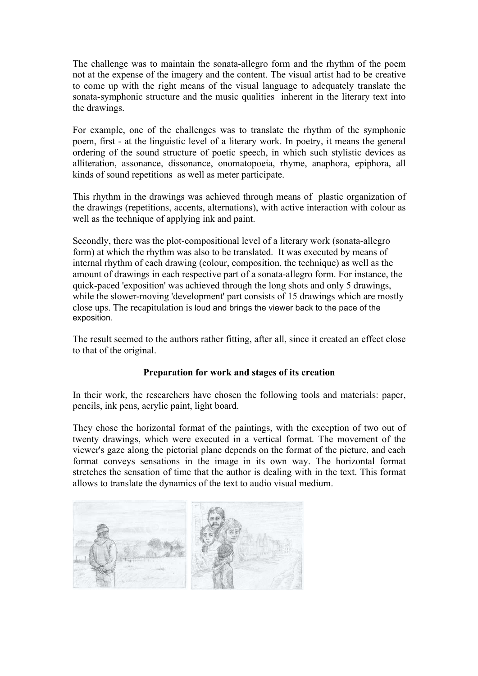The challenge was to maintain the sonata-allegro form and the rhythm of the poem not at the expense of the imagery and the content. The visual artist had to be creative to come up with the right means of the visual language to adequately translate the sonata-symphonic structure and the music qualities inherent in the literary text into the drawings.

For example, one of the challenges was to translate the rhythm of the symphonic poem, first - at the linguistic level of a literary work. In poetry, it means the general ordering of the sound structure of poetic speech, in which such stylistic devices as alliteration, assonance, dissonance, onomatopoeia, rhyme, anaphora, epiphora, all kinds of sound repetitions as well as meter participate.

This rhythm in the drawings was achieved through means of plastic organization of the drawings (repetitions, accents, alternations), with active interaction with colour as well as the technique of applying ink and paint.

Secondly, there was the plot-compositional level of a literary work (sonata-allegro form) at which the rhythm was also to be translated. It was executed by means of internal rhythm of each drawing (colour, composition, the technique) as well as the amount of drawings in each respective part of a sonata-allegro form. For instance, the quick-paced 'exposition' was achieved through the long shots and only 5 drawings, while the slower-moving 'development' part consists of 15 drawings which are mostly close ups. The recapitulation is loud and brings the viewer back to the pace of the exposition.

The result seemed to the authors rather fitting, after all, since it created an effect close to that of the original.

## **Preparation for work and stages of its creation**

In their work, the researchers have chosen the following tools and materials: paper, pencils, ink pens, acrylic paint, light board.

They chose the horizontal format of the paintings, with the exception of two out of twenty drawings, which were executed in a vertical format. The movement of the viewer's gaze along the pictorial plane depends on the format of the picture, and each format conveys sensations in the image in its own way. The horizontal format stretches the sensation of time that the author is dealing with in the text. This format allows to translate the dynamics of the text to audio visual medium.

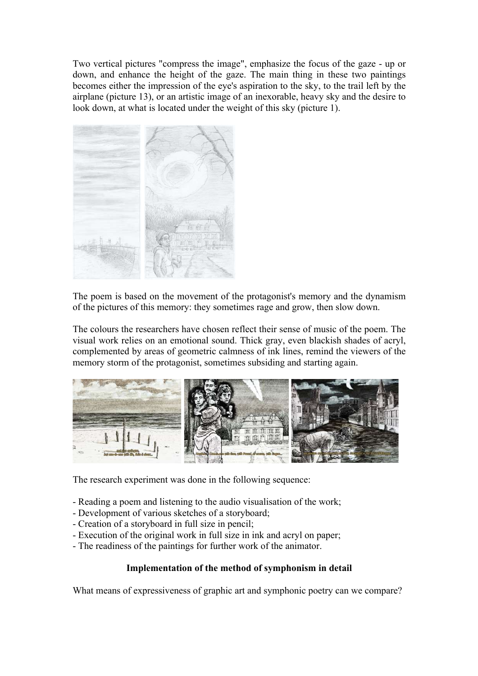Two vertical pictures "compress the image", emphasize the focus of the gaze - up or down, and enhance the height of the gaze. The main thing in these two paintings becomes either the impression of the eye's aspiration to the sky, to the trail left by the airplane (picture 13), or an artistic image of an inexorable, heavy sky and the desire to look down, at what is located under the weight of this sky (picture 1).



The poem is based on the movement of the protagonist's memory and the dynamism of the pictures of this memory: they sometimes rage and grow, then slow down.

The colours the researchers have chosen reflect their sense of music of the poem. The visual work relies on an emotional sound. Thick gray, even blackish shades of acryl, complemented by areas of geometric calmness of ink lines, remind the viewers of the memory storm of the protagonist, sometimes subsiding and starting again.



The research experiment was done in the following sequence:

- Reading a poem and listening to the audio visualisation of the work;
- Development of various sketches of a storyboard;
- Creation of a storyboard in full size in pencil;
- Execution of the original work in full size in ink and acryl on paper;
- The readiness of the paintings for further work of the animator.

## **Implementation of the method of symphonism in detail**

What means of expressiveness of graphic art and symphonic poetry can we compare?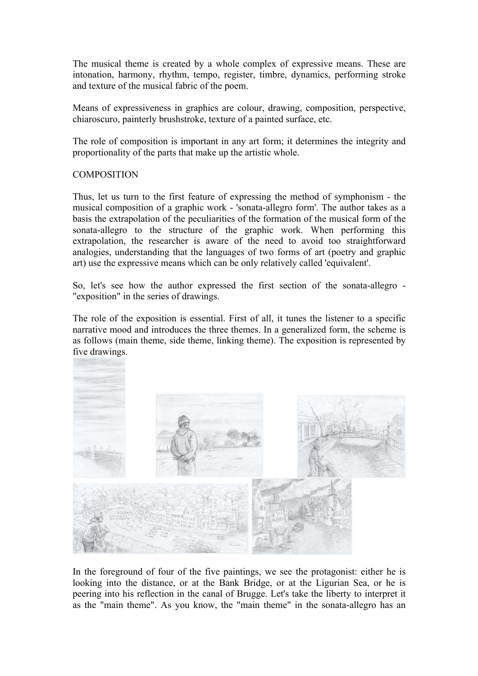The musical theme is created by a whole complex of expressive means. These are intonation, harmony, rhythm, tempo, register, timbre, dynamics, performing stroke and texture of the musical fabric of the poem.

Means of expressiveness in graphics are colour, drawing, composition, perspective, chiaroscuro, painterly brushstroke, texture of a painted surface, etc.

The role of composition is important in any art form; it determines the integrity and proportionality of the parts that make up the artistic whole.

### **COMPOSITION**

Thus, let us turn to the first feature of expressing the method of symphonism - the musical composition of a graphic work - 'sonata-allegro form'. The author takes as a basis the extrapolation of the peculiarities of the formation of the musical form of the sonata-allegro to the structure of the graphic work. When performing this extrapolation, the researcher is aware of the need to avoid too straightforward analogies, understanding that the languages of two forms of art (poetry and graphic art) use the expressive means which can be only relatively called 'equivalent'.

So, let's see how the author expressed the first section of the sonata-allegro - "exposition" in the series of drawings.

The role of the exposition is essential. First of all, it tunes the listener to a specific narrative mood and introduces the three themes. In a generalized form, the scheme is as follows (main theme, side theme, linking theme). The exposition is represented by five drawings.



In the foreground of four of the five paintings, we see the protagonist: either he is looking into the distance, or at the Bank Bridge, or at the Ligurian Sea, or he is peering into his reflection in the canal of Brugge. Let's take the liberty to interpret it as the "main theme". As you know, the "main theme" in the sonata-allegro has an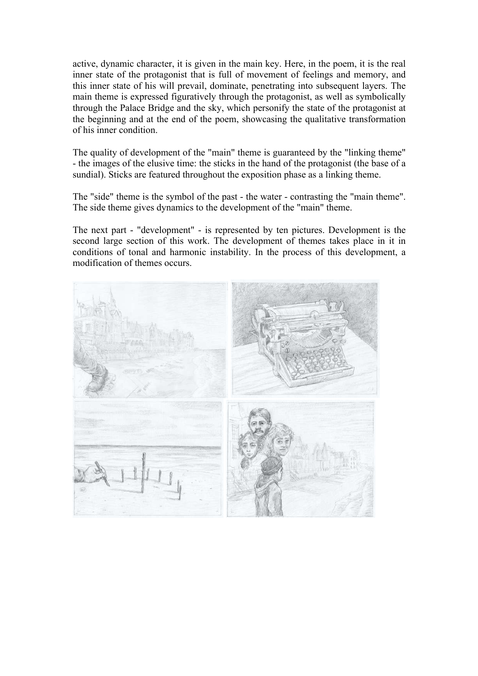active, dynamic character, it is given in the main key. Here, in the poem, it is the real inner state of the protagonist that is full of movement of feelings and memory, and this inner state of his will prevail, dominate, penetrating into subsequent layers. The main theme is expressed figuratively through the protagonist, as well as symbolically through the Palace Bridge and the sky, which personify the state of the protagonist at the beginning and at the end of the poem, showcasing the qualitative transformation of his inner condition.

The quality of development of the "main" theme is guaranteed by the "linking theme" - the images of the elusive time: the sticks in the hand of the protagonist (the base of a sundial). Sticks are featured throughout the exposition phase as a linking theme.

The "side" theme is the symbol of the past - the water - contrasting the "main theme". The side theme gives dynamics to the development of the "main" theme.

The next part - "development" - is represented by ten pictures. Development is the second large section of this work. The development of themes takes place in it in conditions of tonal and harmonic instability. In the process of this development, a modification of themes occurs.

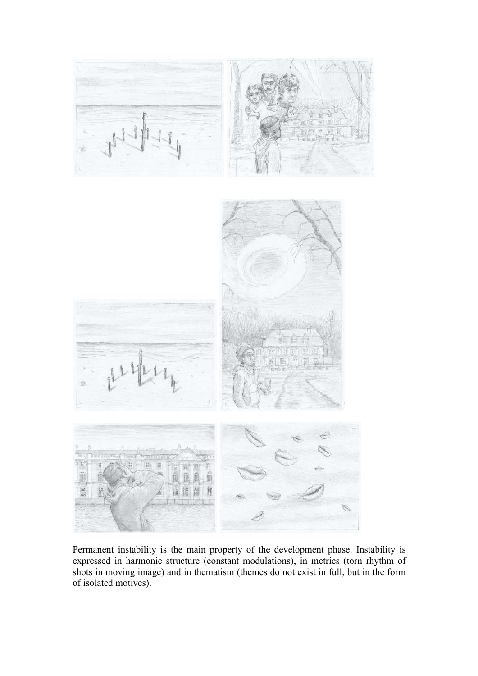

Permanent instability is the main property of the development phase. Instability is expressed in harmonic structure (constant modulations), in metrics (torn rhythm of shots in moving image) and in thematism (themes do not exist in full, but in the form of isolated motives).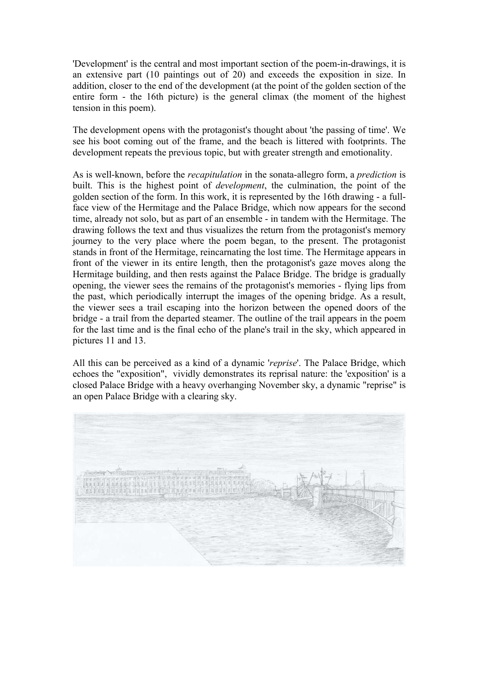'Development' is the central and most important section of the poem-in-drawings, it is an extensive part (10 paintings out of 20) and exceeds the exposition in size. In addition, closer to the end of the development (at the point of the golden section of the entire form - the 16th picture) is the general climax (the moment of the highest tension in this poem).

The development opens with the protagonist's thought about 'the passing of time'. We see his boot coming out of the frame, and the beach is littered with footprints. The development repeats the previous topic, but with greater strength and emotionality.

As is well-known, before the *recapitulation* in the sonata-allegro form, a *prediction* is built. This is the highest point of *development*, the culmination, the point of the golden section of the form. In this work, it is represented by the 16th drawing - a fullface view of the Hermitage and the Palace Bridge, which now appears for the second time, already not solo, but as part of an ensemble - in tandem with the Hermitage. The drawing follows the text and thus visualizes the return from the protagonist's memory journey to the very place where the poem began, to the present. The protagonist stands in front of the Hermitage, reincarnating the lost time. The Hermitage appears in front of the viewer in its entire length, then the protagonist's gaze moves along the Hermitage building, and then rests against the Palace Bridge. The bridge is gradually opening, the viewer sees the remains of the protagonist's memories - flying lips from the past, which periodically interrupt the images of the opening bridge. As a result, the viewer sees a trail escaping into the horizon between the opened doors of the bridge - a trail from the departed steamer. The outline of the trail appears in the poem for the last time and is the final echo of the plane's trail in the sky, which appeared in pictures 11 and 13.

All this can be perceived as a kind of a dynamic '*reprise*'. The Palace Bridge, which echoes the "exposition", vividly demonstrates its reprisal nature: the 'exposition' is a closed Palace Bridge with a heavy overhanging November sky, a dynamic "reprise" is an open Palace Bridge with a clearing sky.

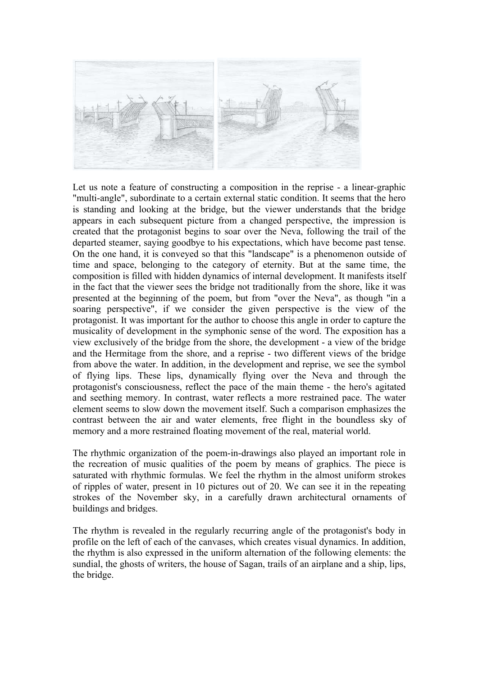

Let us note a feature of constructing a composition in the reprise - a linear-graphic "multi-angle", subordinate to a certain external static condition. It seems that the hero is standing and looking at the bridge, but the viewer understands that the bridge appears in each subsequent picture from a changed perspective, the impression is created that the protagonist begins to soar over the Neva, following the trail of the departed steamer, saying goodbye to his expectations, which have become past tense. On the one hand, it is conveyed so that this "landscape" is a phenomenon outside of time and space, belonging to the category of eternity. But at the same time, the composition is filled with hidden dynamics of internal development. It manifests itself in the fact that the viewer sees the bridge not traditionally from the shore, like it was presented at the beginning of the poem, but from "over the Neva", as though "in a soaring perspective", if we consider the given perspective is the view of the protagonist. It was important for the author to choose this angle in order to capture the musicality of development in the symphonic sense of the word. The exposition has a view exclusively of the bridge from the shore, the development - a view of the bridge and the Hermitage from the shore, and a reprise - two different views of the bridge from above the water. In addition, in the development and reprise, we see the symbol of flying lips. These lips, dynamically flying over the Neva and through the protagonist's consciousness, reflect the pace of the main theme - the hero's agitated and seething memory. In contrast, water reflects a more restrained pace. The water element seems to slow down the movement itself. Such a comparison emphasizes the contrast between the air and water elements, free flight in the boundless sky of memory and a more restrained floating movement of the real, material world.

The rhythmic organization of the poem-in-drawings also played an important role in the recreation of music qualities of the poem by means of graphics. The piece is saturated with rhythmic formulas. We feel the rhythm in the almost uniform strokes of ripples of water, present in 10 pictures out of 20. We can see it in the repeating strokes of the November sky, in a carefully drawn architectural ornaments of buildings and bridges.

The rhythm is revealed in the regularly recurring angle of the protagonist's body in profile on the left of each of the canvases, which creates visual dynamics. In addition, the rhythm is also expressed in the uniform alternation of the following elements: the sundial, the ghosts of writers, the house of Sagan, trails of an airplane and a ship, lips, the bridge.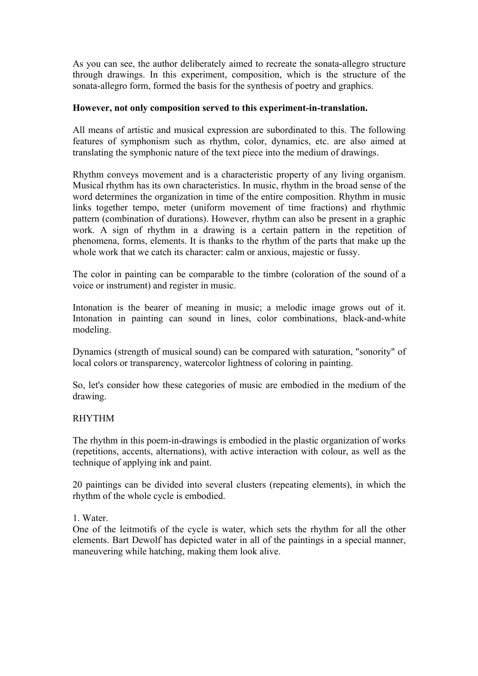As you can see, the author deliberately aimed to recreate the sonata-allegro structure through drawings. In this experiment, composition, which is the structure of the sonata-allegro form, formed the basis for the synthesis of poetry and graphics.

### **However, not only composition served to this experiment-in-translation.**

All means of artistic and musical expression are subordinated to this. The following features of symphonism such as rhythm, color, dynamics, etc. are also aimed at translating the symphonic nature of the text piece into the medium of drawings.

Rhythm conveys movement and is a characteristic property of any living organism. Musical rhythm has its own characteristics. In music, rhythm in the broad sense of the word determines the organization in time of the entire composition. Rhythm in music links together tempo, meter (uniform movement of time fractions) and rhythmic pattern (combination of durations). However, rhythm can also be present in a graphic work. A sign of rhythm in a drawing is a certain pattern in the repetition of phenomena, forms, elements. It is thanks to the rhythm of the parts that make up the whole work that we catch its character: calm or anxious, majestic or fussy.

The color in painting can be comparable to the timbre (coloration of the sound of a voice or instrument) and register in music.

Intonation is the bearer of meaning in music; a melodic image grows out of it. Intonation in painting can sound in lines, color combinations, black-and-white modeling.

Dynamics (strength of musical sound) can be compared with saturation, "sonority" of local colors or transparency, watercolor lightness of coloring in painting.

So, let's consider how these categories of music are embodied in the medium of the drawing.

## RHYTHM

The rhythm in this poem-in-drawings is embodied in the plastic organization of works (repetitions, accents, alternations), with active interaction with colour, as well as the technique of applying ink and paint.

20 paintings can be divided into several clusters (repeating elements), in which the rhythm of the whole cycle is embodied.

1. Water.

One of the leitmotifs of the cycle is water, which sets the rhythm for all the other elements. Bart Dewolf has depicted water in all of the paintings in a special manner, maneuvering while hatching, making them look alive.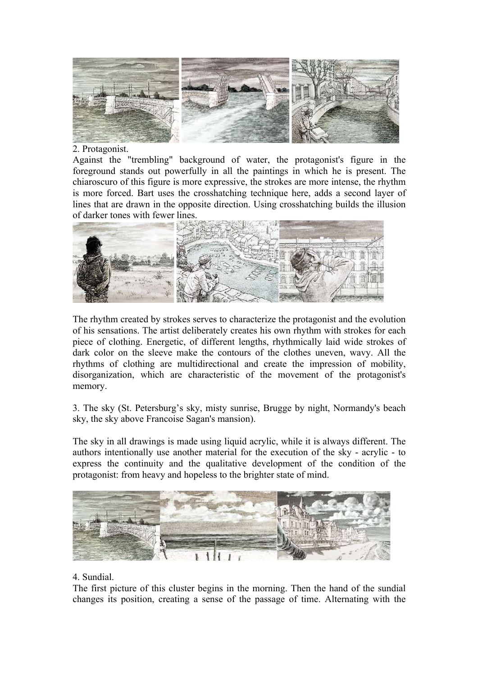

#### 2. Protagonist.

Against the "trembling" background of water, the protagonist's figure in the foreground stands out powerfully in all the paintings in which he is present. The chiaroscuro of this figure is more expressive, the strokes are more intense, the rhythm is more forced. Bart uses the crosshatching technique here, adds a second layer of lines that are drawn in the opposite direction. Using crosshatching builds the illusion of darker tones with fewer lines.



The rhythm created by strokes serves to characterize the protagonist and the evolution of his sensations. The artist deliberately creates his own rhythm with strokes for each piece of clothing. Energetic, of different lengths, rhythmically laid wide strokes of dark color on the sleeve make the contours of the clothes uneven, wavy. All the rhythms of clothing are multidirectional and create the impression of mobility, disorganization, which are characteristic of the movement of the protagonist's memory.

3. The sky (St. Petersburg's sky, misty sunrise, Brugge by night, Normandy's beach sky, the sky above Francoise Sagan's mansion).

The sky in all drawings is made using liquid acrylic, while it is always different. The authors intentionally use another material for the execution of the sky - acrylic - to express the continuity and the qualitative development of the condition of the protagonist: from heavy and hopeless to the brighter state of mind.



## 4. Sundial.

The first picture of this cluster begins in the morning. Then the hand of the sundial changes its position, creating a sense of the passage of time. Alternating with the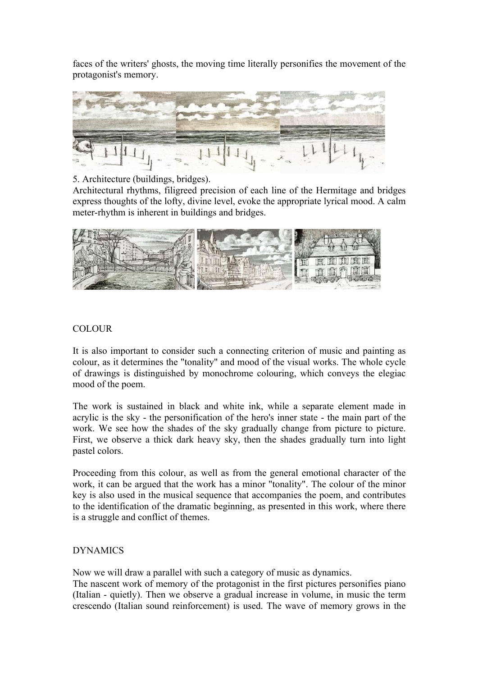faces of the writers' ghosts, the moving time literally personifies the movement of the protagonist's memory.



## 5. Architecture (buildings, bridges).

Architectural rhythms, filigreed precision of each line of the Hermitage and bridges express thoughts of the lofty, divine level, evoke the appropriate lyrical mood. A calm meter-rhythm is inherent in buildings and bridges.



## **COLOUR**

It is also important to consider such a connecting criterion of music and painting as colour, as it determines the "tonality" and mood of the visual works. The whole cycle of drawings is distinguished by monochrome colouring, which conveys the elegiac mood of the poem.

The work is sustained in black and white ink, while a separate element made in acrylic is the sky - the personification of the hero's inner state - the main part of the work. We see how the shades of the sky gradually change from picture to picture. First, we observe a thick dark heavy sky, then the shades gradually turn into light pastel colors.

Proceeding from this colour, as well as from the general emotional character of the work, it can be argued that the work has a minor "tonality". The colour of the minor key is also used in the musical sequence that accompanies the poem, and contributes to the identification of the dramatic beginning, as presented in this work, where there is a struggle and conflict of themes.

## DYNAMICS

Now we will draw a parallel with such a category of music as dynamics.

The nascent work of memory of the protagonist in the first pictures personifies piano (Italian - quietly). Then we observe a gradual increase in volume, in music the term crescendo (Italian sound reinforcement) is used. The wave of memory grows in the